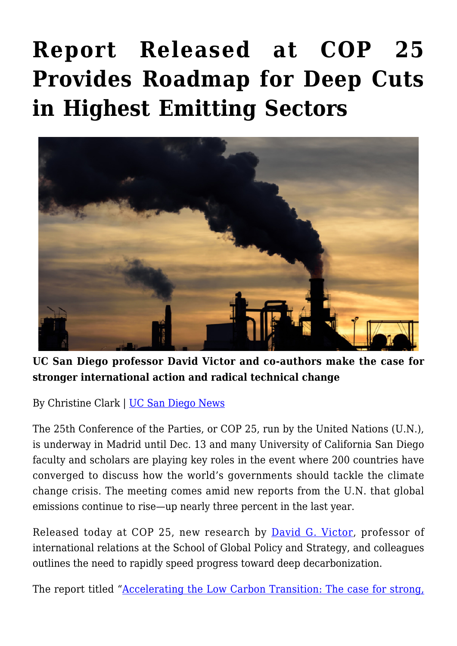## **[Report Released at COP 25](https://gpsnews.ucsd.edu/report-released-at-cop-25-provides-roadmap-for-deep-cuts-in-highest-emitting-sectors/) [Provides Roadmap for Deep Cuts](https://gpsnews.ucsd.edu/report-released-at-cop-25-provides-roadmap-for-deep-cuts-in-highest-emitting-sectors/) [in Highest Emitting Sectors](https://gpsnews.ucsd.edu/report-released-at-cop-25-provides-roadmap-for-deep-cuts-in-highest-emitting-sectors/)**



**UC San Diego professor David Victor and co-authors make the case for stronger international action and radical technical change**

By Christine Clark | [UC San Diego News](https://ucsdnews.ucsd.edu/pressrelease/report-released-at-cop-25-provides-roadmap-for-deep-cuts-in-highest-emitting-sectors)

The 25th Conference of the Parties, or COP 25, run by the United Nations (U.N.), is underway in Madrid until Dec. 13 and many University of California San Diego faculty and scholars are playing key roles in the event where 200 countries have converged to discuss how the world's governments should tackle the climate change crisis. The meeting comes amid new reports from the U.N. that global emissions continue to rise—up nearly three percent in the last year.

Released today at COP 25, new research by [David G. Victor](https://gps.ucsd.edu/faculty-directory/david-victor.html), professor of international relations at the School of Global Policy and Strategy, and colleagues outlines the need to rapidly speed progress toward deep decarbonization.

The report titled "[Accelerating the Low Carbon Transition: The case for strong,](http://www.energy-transitions.org/content/accelerating-low-carbon-transition)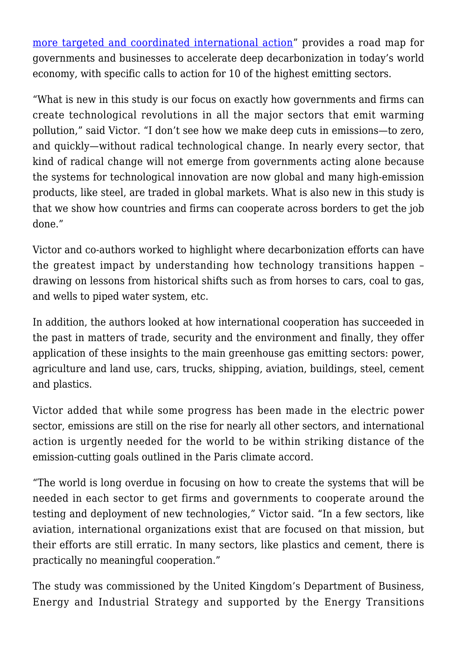[more targeted and coordinated international action"](http://www.energy-transitions.org/content/accelerating-low-carbon-transition) provides a road map for governments and businesses to accelerate deep decarbonization in today's world economy, with specific calls to action for 10 of the highest emitting sectors.

"What is new in this study is our focus on exactly how governments and firms can create technological revolutions in all the major sectors that emit warming pollution," said Victor. "I don't see how we make deep cuts in emissions—to zero, and quickly—without radical technological change. In nearly every sector, that kind of radical change will not emerge from governments acting alone because the systems for technological innovation are now global and many high-emission products, like steel, are traded in global markets. What is also new in this study is that we show how countries and firms can cooperate across borders to get the job done."

Victor and co-authors worked to highlight where decarbonization efforts can have the greatest impact by understanding how technology transitions happen – drawing on lessons from historical shifts such as from horses to cars, coal to gas, and wells to piped water system, etc.

In addition, the authors looked at how international cooperation has succeeded in the past in matters of trade, security and the environment and finally, they offer application of these insights to the main greenhouse gas emitting sectors: power, agriculture and land use, cars, trucks, shipping, aviation, buildings, steel, cement and plastics.

Victor added that while some progress has been made in the electric power sector, emissions are still on the rise for nearly all other sectors, and international action is urgently needed for the world to be within striking distance of the emission-cutting goals outlined in the Paris climate accord.

"The world is long overdue in focusing on how to create the systems that will be needed in each sector to get firms and governments to cooperate around the testing and deployment of new technologies," Victor said. "In a few sectors, like aviation, international organizations exist that are focused on that mission, but their efforts are still erratic. In many sectors, like plastics and cement, there is practically no meaningful cooperation."

The study was commissioned by the United Kingdom's Department of Business, Energy and Industrial Strategy and supported by the Energy Transitions